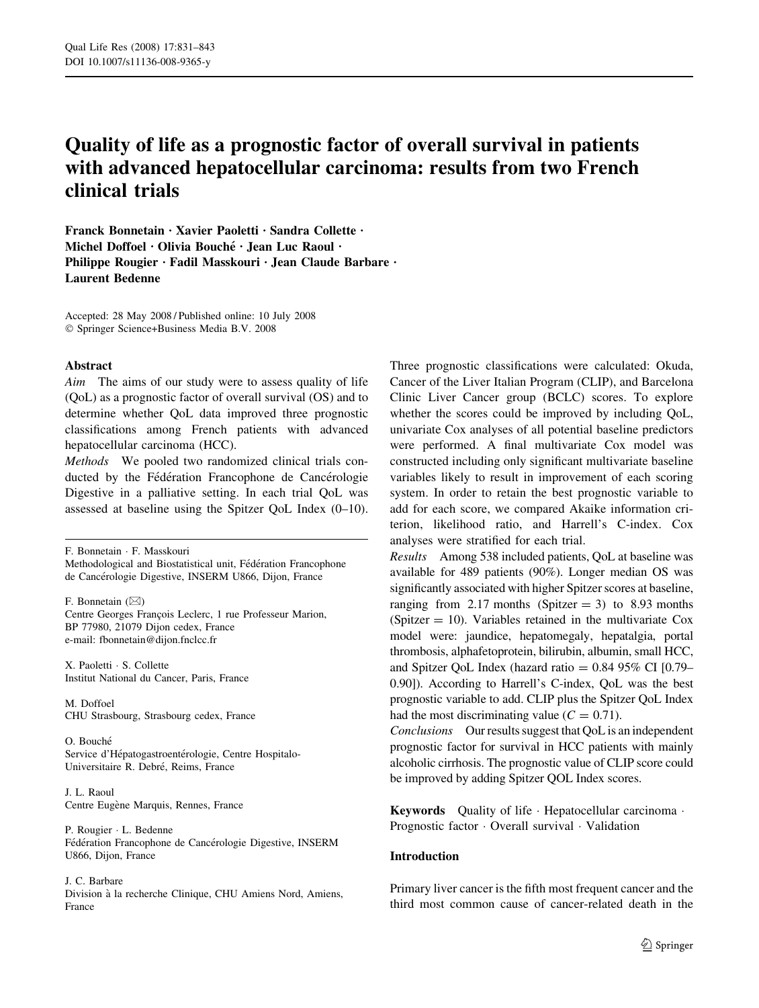# Quality of life as a prognostic factor of overall survival in patients with advanced hepatocellular carcinoma: results from two French clinical trials

Franck Bonnetain · Xavier Paoletti · Sandra Collette · Michel Doffoel · Olivia Bouché · Jean Luc Raoul · Philippe Rougier · Fadil Masskouri · Jean Claude Barbare · Laurent Bedenne

Accepted: 28 May 2008 / Published online: 10 July 2008 Springer Science+Business Media B.V. 2008

## Abstract

Aim The aims of our study were to assess quality of life (QoL) as a prognostic factor of overall survival (OS) and to determine whether QoL data improved three prognostic classifications among French patients with advanced hepatocellular carcinoma (HCC).

Methods We pooled two randomized clinical trials conducted by the Fédération Francophone de Cancérologie Digestive in a palliative setting. In each trial QoL was assessed at baseline using the Spitzer QoL Index (0–10).

F. Bonnetain · F. Masskouri

Methodological and Biostatistical unit, Fédération Francophone de Cancérologie Digestive, INSERM U866, Dijon, France

F. Bonnetain  $(\boxtimes)$ Centre Georges François Leclerc, 1 rue Professeur Marion, BP 77980, 21079 Dijon cedex, France e-mail: fbonnetain@dijon.fnclcc.fr

X. Paoletti · S. Collette Institut National du Cancer, Paris, France

M. Doffoel CHU Strasbourg, Strasbourg cedex, France

O. Bouché Service d'Hépatogastroentérologie, Centre Hospitalo-Universitaire R. Debré, Reims, France

J. L. Raoul Centre Eugène Marquis, Rennes, France

P. Rougier · L. Bedenne Fédération Francophone de Cancérologie Digestive, INSERM U866, Dijon, France

#### J. C. Barbare

Division a` la recherche Clinique, CHU Amiens Nord, Amiens, France

Three prognostic classifications were calculated: Okuda, Cancer of the Liver Italian Program (CLIP), and Barcelona Clinic Liver Cancer group (BCLC) scores. To explore whether the scores could be improved by including QoL, univariate Cox analyses of all potential baseline predictors were performed. A final multivariate Cox model was constructed including only significant multivariate baseline variables likely to result in improvement of each scoring system. In order to retain the best prognostic variable to add for each score, we compared Akaike information criterion, likelihood ratio, and Harrell's C-index. Cox analyses were stratified for each trial.

Results Among 538 included patients, QoL at baseline was available for 489 patients (90%). Longer median OS was significantly associated with higher Spitzer scores at baseline, ranging from 2.17 months (Spitzer  $= 3$ ) to 8.93 months (Spitzer  $= 10$ ). Variables retained in the multivariate Cox model were: jaundice, hepatomegaly, hepatalgia, portal thrombosis, alphafetoprotein, bilirubin, albumin, small HCC, and Spitzer QoL Index (hazard ratio  $= 0.84$  95% CI [0.79– 0.90]). According to Harrell's C-index, QoL was the best prognostic variable to add. CLIP plus the Spitzer QoL Index had the most discriminating value  $(C = 0.71)$ .

Conclusions Our results suggest that QoL is an independent prognostic factor for survival in HCC patients with mainly alcoholic cirrhosis. The prognostic value of CLIP score could be improved by adding Spitzer QOL Index scores.

**Keywords** Quality of life  $\cdot$  Hepatocellular carcinoma $\cdot$ Prognostic factor · Overall survival · Validation

#### Introduction

Primary liver cancer is the fifth most frequent cancer and the third most common cause of cancer-related death in the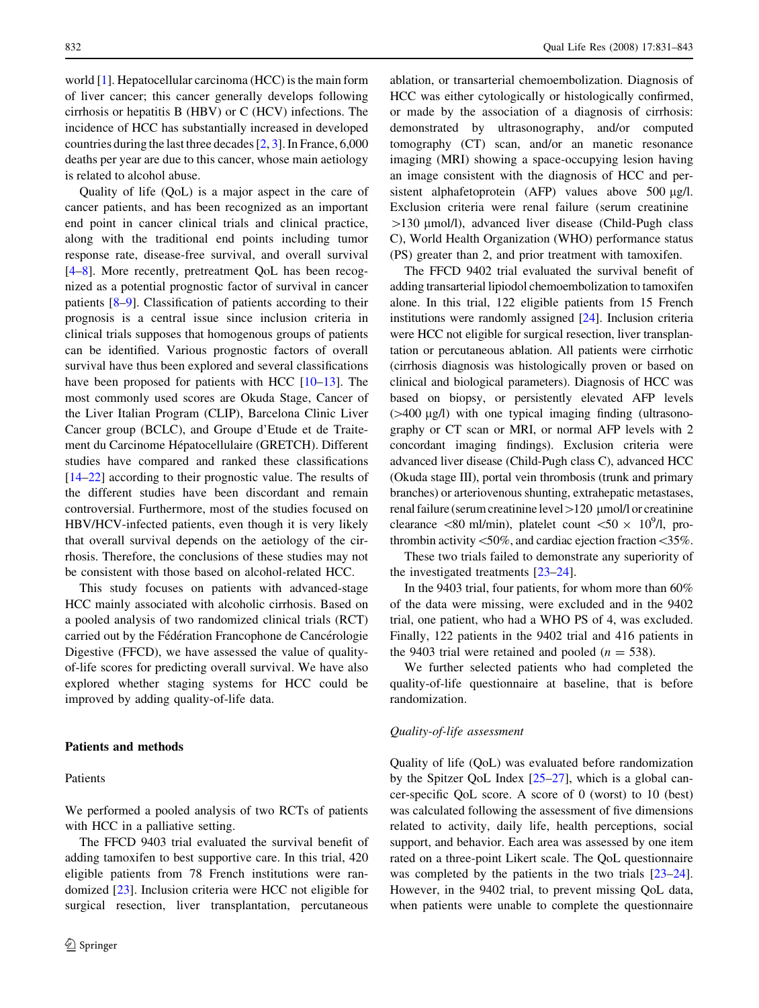world [\[1](#page-10-0)]. Hepatocellular carcinoma (HCC) is the main form of liver cancer; this cancer generally develops following cirrhosis or hepatitis B (HBV) or C (HCV) infections. The incidence of HCC has substantially increased in developed countries during the last three decades [\[2](#page-10-0), [3](#page-10-0)]. In France, 6,000 deaths per year are due to this cancer, whose main aetiology is related to alcohol abuse.

Quality of life (QoL) is a major aspect in the care of cancer patients, and has been recognized as an important end point in cancer clinical trials and clinical practice, along with the traditional end points including tumor response rate, disease-free survival, and overall survival [\[4–8](#page-10-0)]. More recently, pretreatment QoL has been recognized as a potential prognostic factor of survival in cancer patients [[8–9\]](#page-10-0). Classification of patients according to their prognosis is a central issue since inclusion criteria in clinical trials supposes that homogenous groups of patients can be identified. Various prognostic factors of overall survival have thus been explored and several classifications have been proposed for patients with HCC [[10–13\]](#page-11-0). The most commonly used scores are Okuda Stage, Cancer of the Liver Italian Program (CLIP), Barcelona Clinic Liver Cancer group (BCLC), and Groupe d'Etude et de Traitement du Carcinome Hépatocellulaire (GRETCH). Different studies have compared and ranked these classifications [\[14–22](#page-11-0)] according to their prognostic value. The results of the different studies have been discordant and remain controversial. Furthermore, most of the studies focused on HBV/HCV-infected patients, even though it is very likely that overall survival depends on the aetiology of the cirrhosis. Therefore, the conclusions of these studies may not be consistent with those based on alcohol-related HCC.

This study focuses on patients with advanced-stage HCC mainly associated with alcoholic cirrhosis. Based on a pooled analysis of two randomized clinical trials (RCT) carried out by the Fédération Francophone de Cancérologie Digestive (FFCD), we have assessed the value of qualityof-life scores for predicting overall survival. We have also explored whether staging systems for HCC could be improved by adding quality-of-life data.

### Patients and methods

#### Patients

We performed a pooled analysis of two RCTs of patients with HCC in a palliative setting.

The FFCD 9403 trial evaluated the survival benefit of adding tamoxifen to best supportive care. In this trial, 420 eligible patients from 78 French institutions were randomized [[23\]](#page-11-0). Inclusion criteria were HCC not eligible for surgical resection, liver transplantation, percutaneous ablation, or transarterial chemoembolization. Diagnosis of HCC was either cytologically or histologically confirmed, or made by the association of a diagnosis of cirrhosis: demonstrated by ultrasonography, and/or computed tomography (CT) scan, and/or an manetic resonance imaging (MRI) showing a space-occupying lesion having an image consistent with the diagnosis of HCC and persistent alphafetoprotein (AFP) values above 500  $\mu$ g/l. Exclusion criteria were renal failure (serum creatinine  $>130$  µmol/l), advanced liver disease (Child-Pugh class C), World Health Organization (WHO) performance status (PS) greater than 2, and prior treatment with tamoxifen.

The FFCD 9402 trial evaluated the survival benefit of adding transarterial lipiodol chemoembolization to tamoxifen alone. In this trial, 122 eligible patients from 15 French institutions were randomly assigned [\[24](#page-11-0)]. Inclusion criteria were HCC not eligible for surgical resection, liver transplantation or percutaneous ablation. All patients were cirrhotic (cirrhosis diagnosis was histologically proven or based on clinical and biological parameters). Diagnosis of HCC was based on biopsy, or persistently elevated AFP levels  $(>=400 \text{ µg/l})$  with one typical imaging finding (ultrasonography or CT scan or MRI, or normal AFP levels with 2 concordant imaging findings). Exclusion criteria were advanced liver disease (Child-Pugh class C), advanced HCC (Okuda stage III), portal vein thrombosis (trunk and primary branches) or arteriovenous shunting, extrahepatic metastases, renal failure (serum creatinine level  $>120 \mu$ mol/l or creatinine clearance  $\langle 80 \text{ ml/min} \rangle$ , platelet count  $\langle 50 \times 10^9/1 \rangle$ , prothrombin activity  $\leq 50\%$ , and cardiac ejection fraction  $\leq 35\%$ .

These two trials failed to demonstrate any superiority of the investigated treatments [[23–24\]](#page-11-0).

In the 9403 trial, four patients, for whom more than 60% of the data were missing, were excluded and in the 9402 trial, one patient, who had a WHO PS of 4, was excluded. Finally, 122 patients in the 9402 trial and 416 patients in the 9403 trial were retained and pooled ( $n = 538$ ).

We further selected patients who had completed the quality-of-life questionnaire at baseline, that is before randomization.

#### Quality-of-life assessment

Quality of life (QoL) was evaluated before randomization by the Spitzer QoL Index [\[25–27](#page-11-0)], which is a global cancer-specific QoL score. A score of 0 (worst) to 10 (best) was calculated following the assessment of five dimensions related to activity, daily life, health perceptions, social support, and behavior. Each area was assessed by one item rated on a three-point Likert scale. The QoL questionnaire was completed by the patients in the two trials  $[23-24]$ . However, in the 9402 trial, to prevent missing QoL data, when patients were unable to complete the questionnaire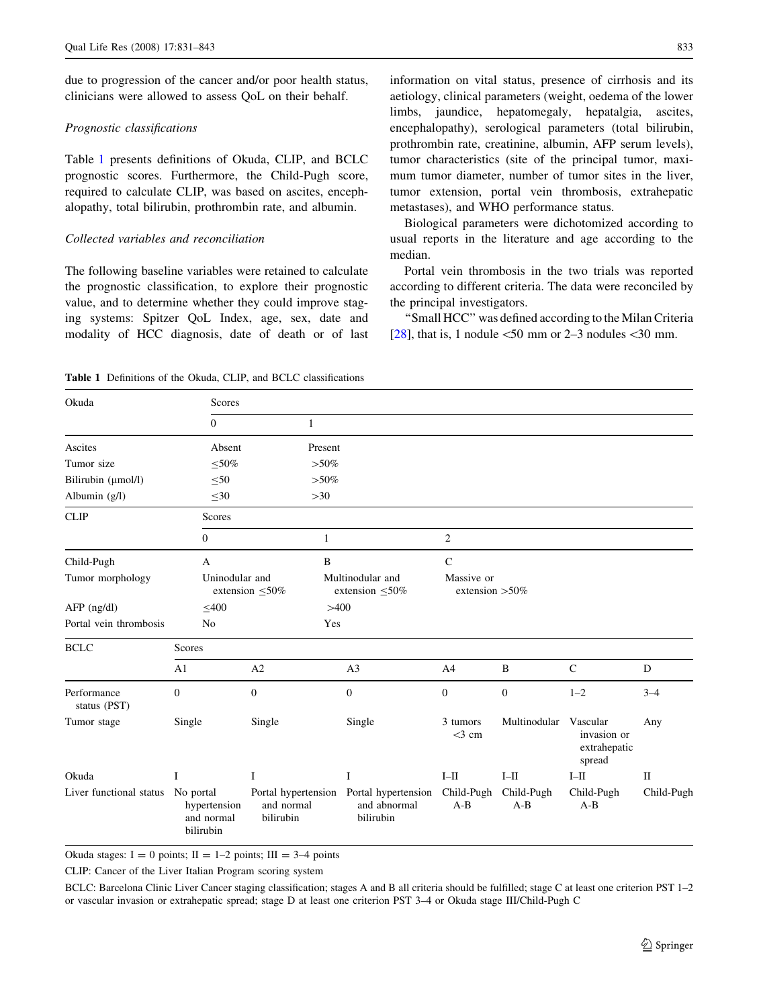due to progression of the cancer and/or poor health status, clinicians were allowed to assess QoL on their behalf.

#### Prognostic classifications

Table 1 presents definitions of Okuda, CLIP, and BCLC prognostic scores. Furthermore, the Child-Pugh score, required to calculate CLIP, was based on ascites, encephalopathy, total bilirubin, prothrombin rate, and albumin.

## Collected variables and reconciliation

The following baseline variables were retained to calculate the prognostic classification, to explore their prognostic value, and to determine whether they could improve staging systems: Spitzer QoL Index, age, sex, date and modality of HCC diagnosis, date of death or of last information on vital status, presence of cirrhosis and its aetiology, clinical parameters (weight, oedema of the lower limbs, jaundice, hepatomegaly, hepatalgia, ascites, encephalopathy), serological parameters (total bilirubin, prothrombin rate, creatinine, albumin, AFP serum levels), tumor characteristics (site of the principal tumor, maximum tumor diameter, number of tumor sites in the liver, tumor extension, portal vein thrombosis, extrahepatic metastases), and WHO performance status.

Biological parameters were dichotomized according to usual reports in the literature and age according to the median.

Portal vein thrombosis in the two trials was reported according to different criteria. The data were reconciled by the principal investigators.

''Small HCC'' was defined according to the Milan Criteria [\[28](#page-11-0)], that is, 1 nodule  $\leq 50$  mm or 2–3 nodules  $\leq 30$  mm.

Table 1 Definitions of the Okuda, CLIP, and BCLC classifications

| Scores                               |                                                              |                                                                                       |                                                                                                             |                     |                                                   |              |  |  |  |  |
|--------------------------------------|--------------------------------------------------------------|---------------------------------------------------------------------------------------|-------------------------------------------------------------------------------------------------------------|---------------------|---------------------------------------------------|--------------|--|--|--|--|
| $\mathbf{0}$                         | $\mathbf{1}$                                                 |                                                                                       |                                                                                                             |                     |                                                   |              |  |  |  |  |
|                                      |                                                              |                                                                                       |                                                                                                             |                     |                                                   |              |  |  |  |  |
|                                      |                                                              |                                                                                       |                                                                                                             |                     |                                                   |              |  |  |  |  |
| $\leq 50$                            |                                                              |                                                                                       |                                                                                                             |                     |                                                   |              |  |  |  |  |
| $\leq 30$                            | $>30$                                                        |                                                                                       |                                                                                                             |                     |                                                   |              |  |  |  |  |
| Scores                               |                                                              |                                                                                       |                                                                                                             |                     |                                                   |              |  |  |  |  |
| $\mathbf{0}$                         |                                                              |                                                                                       | 2                                                                                                           |                     |                                                   |              |  |  |  |  |
| Child-Pugh<br>$\mathbf{A}$           |                                                              |                                                                                       | $\mathbf C$                                                                                                 |                     |                                                   |              |  |  |  |  |
| Tumor morphology                     |                                                              | extension $\leq 50\%$                                                                 | Massive or<br>extension $>50\%$                                                                             |                     |                                                   |              |  |  |  |  |
| $AFP$ (ng/dl)<br>$\leq 400$          |                                                              |                                                                                       |                                                                                                             |                     |                                                   |              |  |  |  |  |
| N <sub>0</sub>                       |                                                              |                                                                                       |                                                                                                             |                     |                                                   |              |  |  |  |  |
| Scores                               |                                                              |                                                                                       |                                                                                                             |                     |                                                   |              |  |  |  |  |
| A1                                   | A2                                                           | A <sub>3</sub>                                                                        | A <sub>4</sub>                                                                                              | B                   | $\mathcal{C}$                                     | D            |  |  |  |  |
| $\mathbf{0}$                         | $\mathbf{0}$                                                 | $\mathbf{0}$                                                                          | $\boldsymbol{0}$                                                                                            | $\boldsymbol{0}$    | $1 - 2$                                           | $3 - 4$      |  |  |  |  |
| Tumor stage<br>Single                |                                                              | Single                                                                                | 3 tumors<br>$<$ 3 cm                                                                                        | Multinodular        | Vascular<br>invasion or<br>extrahepatic<br>spread | Any          |  |  |  |  |
| Ι                                    | I                                                            | Ι                                                                                     | $I-H$                                                                                                       | $I-H$               | $I-H$                                             | $\mathbf{I}$ |  |  |  |  |
| No portal<br>and normal<br>bilirubin | and normal<br>bilirubin                                      | and abnormal<br>bilirubin                                                             | Child-Pugh<br>$A-B$                                                                                         | Child-Pugh<br>$A-B$ | Child-Pugh<br>$A-B$                               | Child-Pugh   |  |  |  |  |
|                                      | $<$ 50%<br>Portal vein thrombosis<br>Liver functional status | Absent<br>1<br>B<br>Uninodular and<br>extension $\leq 50\%$<br>Single<br>hypertension | Present<br>$>50\%$<br>$>50\%$<br>Multinodular and<br>>400<br>Yes<br>Portal hypertension Portal hypertension |                     |                                                   |              |  |  |  |  |

Okuda stages:  $I = 0$  points;  $II = 1-2$  points;  $III = 3-4$  points

CLIP: Cancer of the Liver Italian Program scoring system

BCLC: Barcelona Clinic Liver Cancer staging classification; stages A and B all criteria should be fulfilled; stage C at least one criterion PST 1–2 or vascular invasion or extrahepatic spread; stage D at least one criterion PST 3–4 or Okuda stage III/Child-Pugh C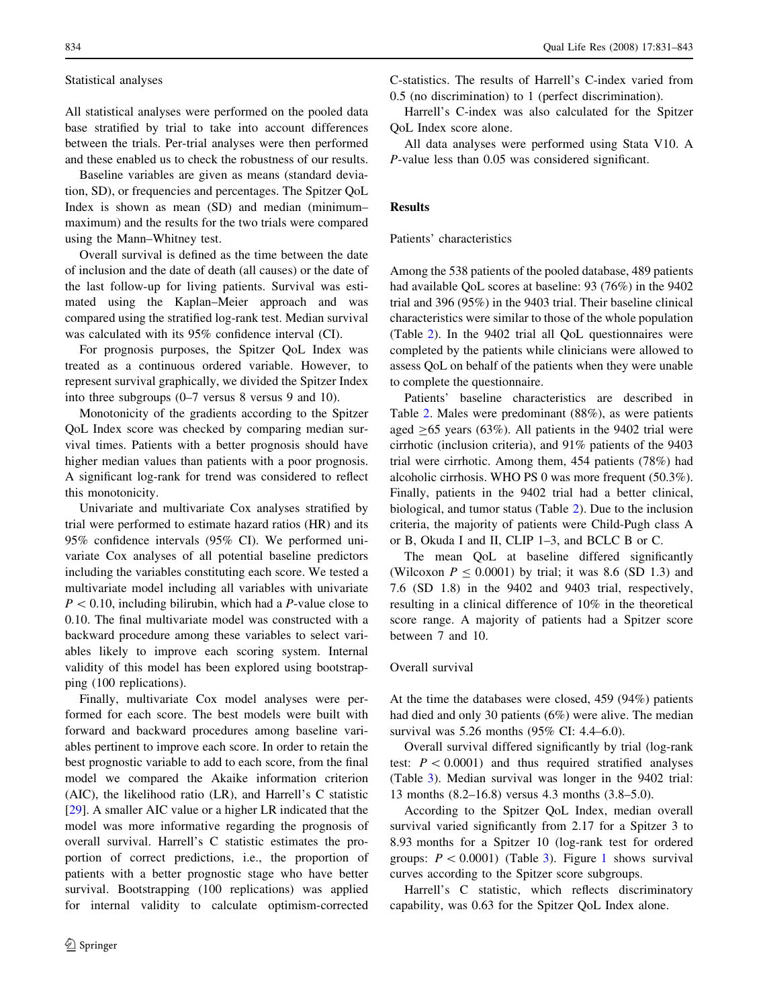Statistical analyses

All statistical analyses were performed on the pooled data base stratified by trial to take into account differences between the trials. Per-trial analyses were then performed and these enabled us to check the robustness of our results.

Baseline variables are given as means (standard deviation, SD), or frequencies and percentages. The Spitzer QoL Index is shown as mean (SD) and median (minimum– maximum) and the results for the two trials were compared using the Mann–Whitney test.

Overall survival is defined as the time between the date of inclusion and the date of death (all causes) or the date of the last follow-up for living patients. Survival was estimated using the Kaplan–Meier approach and was compared using the stratified log-rank test. Median survival was calculated with its 95% confidence interval (CI).

For prognosis purposes, the Spitzer QoL Index was treated as a continuous ordered variable. However, to represent survival graphically, we divided the Spitzer Index into three subgroups (0–7 versus 8 versus 9 and 10).

Monotonicity of the gradients according to the Spitzer QoL Index score was checked by comparing median survival times. Patients with a better prognosis should have higher median values than patients with a poor prognosis. A significant log-rank for trend was considered to reflect this monotonicity.

Univariate and multivariate Cox analyses stratified by trial were performed to estimate hazard ratios (HR) and its 95% confidence intervals (95% CI). We performed univariate Cox analyses of all potential baseline predictors including the variables constituting each score. We tested a multivariate model including all variables with univariate  $P < 0.10$ , including bilirubin, which had a P-value close to 0.10. The final multivariate model was constructed with a backward procedure among these variables to select variables likely to improve each scoring system. Internal validity of this model has been explored using bootstrapping (100 replications).

Finally, multivariate Cox model analyses were performed for each score. The best models were built with forward and backward procedures among baseline variables pertinent to improve each score. In order to retain the best prognostic variable to add to each score, from the final model we compared the Akaike information criterion (AIC), the likelihood ratio (LR), and Harrell's C statistic [\[29](#page-11-0)]. A smaller AIC value or a higher LR indicated that the model was more informative regarding the prognosis of overall survival. Harrell's C statistic estimates the proportion of correct predictions, i.e., the proportion of patients with a better prognostic stage who have better survival. Bootstrapping (100 replications) was applied for internal validity to calculate optimism-corrected C-statistics. The results of Harrell's C-index varied from 0.5 (no discrimination) to 1 (perfect discrimination).

Harrell's C-index was also calculated for the Spitzer QoL Index score alone.

All data analyses were performed using Stata V10. A P-value less than 0.05 was considered significant.

## Results

## Patients' characteristics

Among the 538 patients of the pooled database, 489 patients had available QoL scores at baseline: 93 (76%) in the 9402 trial and 396 (95%) in the 9403 trial. Their baseline clinical characteristics were similar to those of the whole population (Table [2\)](#page-4-0). In the 9402 trial all QoL questionnaires were completed by the patients while clinicians were allowed to assess QoL on behalf of the patients when they were unable to complete the questionnaire.

Patients' baseline characteristics are described in Table [2](#page-4-0). Males were predominant (88%), as were patients aged  $>65$  years (63%). All patients in the 9402 trial were cirrhotic (inclusion criteria), and 91% patients of the 9403 trial were cirrhotic. Among them, 454 patients (78%) had alcoholic cirrhosis. WHO PS 0 was more frequent (50.3%). Finally, patients in the 9402 trial had a better clinical, biological, and tumor status (Table [2\)](#page-4-0). Due to the inclusion criteria, the majority of patients were Child-Pugh class A or B, Okuda I and II, CLIP 1–3, and BCLC B or C.

The mean QoL at baseline differed significantly (Wilcoxon  $P \le 0.0001$ ) by trial; it was 8.6 (SD 1.3) and 7.6 (SD 1.8) in the 9402 and 9403 trial, respectively, resulting in a clinical difference of 10% in the theoretical score range. A majority of patients had a Spitzer score between 7 and 10.

## Overall survival

At the time the databases were closed, 459 (94%) patients had died and only 30 patients (6%) were alive. The median survival was 5.26 months (95% CI: 4.4–6.0).

Overall survival differed significantly by trial (log-rank test:  $P < 0.0001$ ) and thus required stratified analyses (Table [3\)](#page-6-0). Median survival was longer in the 9402 trial: 13 months (8.2–16.8) versus 4.3 months (3.8–5.0).

According to the Spitzer QoL Index, median overall survival varied significantly from 2.17 for a Spitzer 3 to 8.93 months for a Spitzer 10 (log-rank test for ordered groups:  $P < 0.0001$  $P < 0.0001$ ) (Table [3](#page-6-0)). Figure 1 shows survival curves according to the Spitzer score subgroups.

Harrell's C statistic, which reflects discriminatory capability, was 0.63 for the Spitzer QoL Index alone.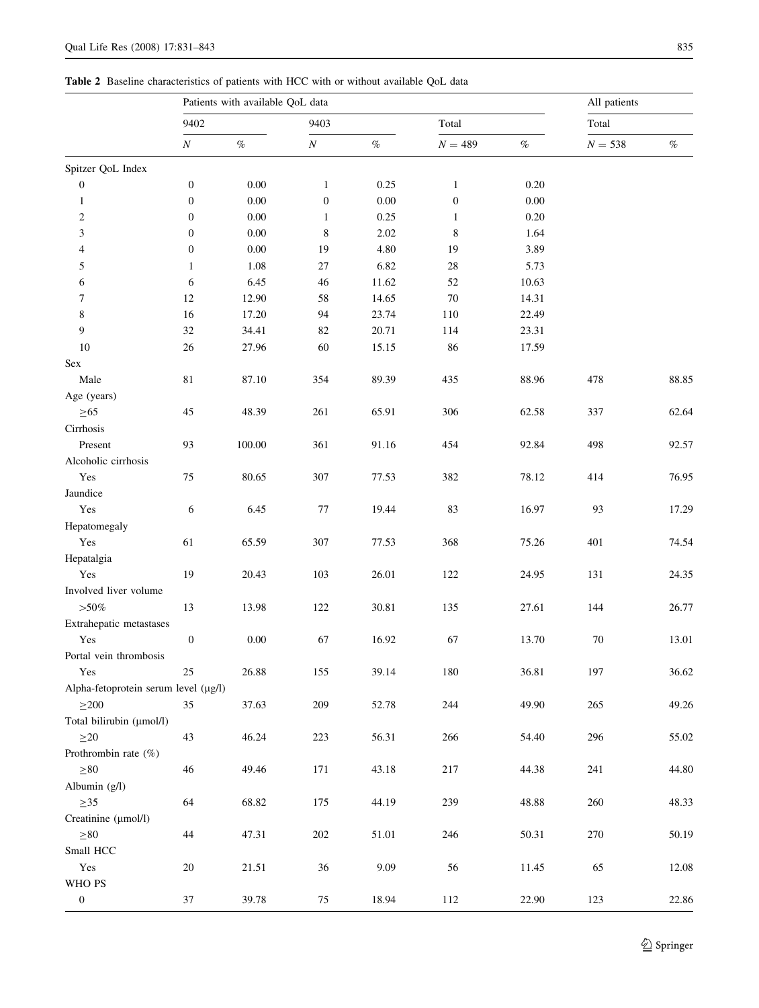## <span id="page-4-0"></span>Table 2 Baseline characteristics of patients with HCC with or without available QoL data

|                                      |                  | Patients with available QoL data |                  |          |                  |          |           |       |  |
|--------------------------------------|------------------|----------------------------------|------------------|----------|------------------|----------|-----------|-------|--|
|                                      | 9402             |                                  | 9403             |          | Total            |          | Total     |       |  |
|                                      | $\cal N$         | $\%$                             | $\cal N$         | $\%$     | $N = 489$        | $\%$     | $N = 538$ | $\%$  |  |
| Spitzer QoL Index                    |                  |                                  |                  |          |                  |          |           |       |  |
| $\boldsymbol{0}$                     | $\boldsymbol{0}$ | 0.00                             | $\mathbf{1}$     | 0.25     | $\mathbf{1}$     | 0.20     |           |       |  |
| 1                                    | $\boldsymbol{0}$ | $0.00\,$                         | $\boldsymbol{0}$ | $0.00\,$ | $\boldsymbol{0}$ | $0.00\,$ |           |       |  |
| $\overline{\mathbf{c}}$              | $\boldsymbol{0}$ | $0.00\,$                         | $\mathbf{1}$     | 0.25     | 1                | $0.20\,$ |           |       |  |
| 3                                    | $\mathbf{0}$     | $0.00\,$                         | 8                | 2.02     | 8                | 1.64     |           |       |  |
| 4                                    | $\boldsymbol{0}$ | $0.00\,$                         | 19               | 4.80     | 19               | 3.89     |           |       |  |
| 5                                    | 1                | 1.08                             | $27\,$           | 6.82     | 28               | 5.73     |           |       |  |
| 6                                    | 6                | 6.45                             | 46               | 11.62    | 52               | 10.63    |           |       |  |
| 7                                    | 12               | 12.90                            | 58               | 14.65    | 70               | 14.31    |           |       |  |
| 8                                    | 16               | 17.20                            | 94               | 23.74    | 110              | 22.49    |           |       |  |
| 9                                    | 32               | 34.41                            | 82               | 20.71    | 114              | 23.31    |           |       |  |
| 10                                   | 26               | 27.96                            | 60               | 15.15    | 86               | 17.59    |           |       |  |
| Sex                                  |                  |                                  |                  |          |                  |          |           |       |  |
| Male                                 | 81               | 87.10                            | 354              | 89.39    | 435              | 88.96    | 478       | 88.85 |  |
| Age (years)                          |                  |                                  |                  |          |                  |          |           |       |  |
| $\geq 65$                            | 45               | 48.39                            | 261              | 65.91    | 306              | 62.58    | 337       | 62.64 |  |
| Cirrhosis                            |                  |                                  |                  |          |                  |          |           |       |  |
| Present                              | 93               | 100.00                           | 361              | 91.16    | 454              | 92.84    | 498       | 92.57 |  |
| Alcoholic cirrhosis                  |                  |                                  |                  |          |                  |          |           |       |  |
| Yes                                  | $75\,$           | 80.65                            | 307              | 77.53    | 382              | 78.12    | 414       | 76.95 |  |
| Jaundice                             |                  |                                  |                  |          |                  |          |           |       |  |
| Yes                                  | 6                | 6.45                             | 77               | 19.44    | 83               | 16.97    | 93        | 17.29 |  |
| Hepatomegaly                         |                  |                                  |                  |          |                  |          |           |       |  |
| Yes                                  | 61               | 65.59                            | 307              | 77.53    | 368              | 75.26    | 401       | 74.54 |  |
| Hepatalgia                           |                  |                                  |                  |          |                  |          |           |       |  |
| Yes                                  | 19               | 20.43                            | 103              | 26.01    | 122              | 24.95    | 131       | 24.35 |  |
| Involved liver volume                |                  |                                  |                  |          |                  |          |           |       |  |
|                                      |                  |                                  |                  |          |                  |          |           |       |  |
| ${>}50\%$                            | 13               | 13.98                            | 122              | 30.81    | 135              | 27.61    | 144       | 26.77 |  |
| Extrahepatic metastases              |                  |                                  |                  |          |                  |          |           |       |  |
| Yes                                  | $\boldsymbol{0}$ | $0.00\,$                         | 67               | 16.92    | 67               | 13.70    | $70\,$    | 13.01 |  |
| Portal vein thrombosis               |                  |                                  |                  |          |                  |          |           |       |  |
| Yes                                  | 25               | 26.88                            | 155              | 39.14    | 180              | 36.81    | 197       | 36.62 |  |
| Alpha-fetoprotein serum level (µg/l) |                  |                                  |                  |          |                  |          |           |       |  |
| $\geq$ 200                           | 35               | 37.63                            | 209              | 52.78    | 244              | 49.90    | $265\,$   | 49.26 |  |
| Total bilirubin (µmol/l)             |                  |                                  |                  |          |                  |          |           |       |  |
| $\geq$ 20                            | 43               | 46.24                            | 223              | 56.31    | 266              | 54.40    | 296       | 55.02 |  |
| Prothrombin rate (%)                 |                  |                                  |                  |          |                  |          |           |       |  |
| $\geq 80$                            | 46               | 49.46                            | 171              | 43.18    | 217              | 44.38    | 241       | 44.80 |  |
| Albumin (g/l)                        |                  |                                  |                  |          |                  |          |           |       |  |
| $\geq$ 35                            | 64               | 68.82                            | 175              | 44.19    | 239              | 48.88    | 260       | 48.33 |  |
| Creatinine (µmol/l)                  |                  |                                  |                  |          |                  |          |           |       |  |
| $\geq 80$                            | 44               | 47.31                            | $202\,$          | 51.01    | 246              | 50.31    | $270\,$   | 50.19 |  |
| Small HCC                            |                  |                                  |                  |          |                  |          |           |       |  |
| Yes                                  | $20\,$           | 21.51                            | 36               | 9.09     | 56               | 11.45    | 65        | 12.08 |  |
| WHO PS                               |                  |                                  |                  |          |                  |          |           |       |  |
| 0                                    | 37               | 39.78                            | 75               | 18.94    | 112              | 22.90    | 123       | 22.86 |  |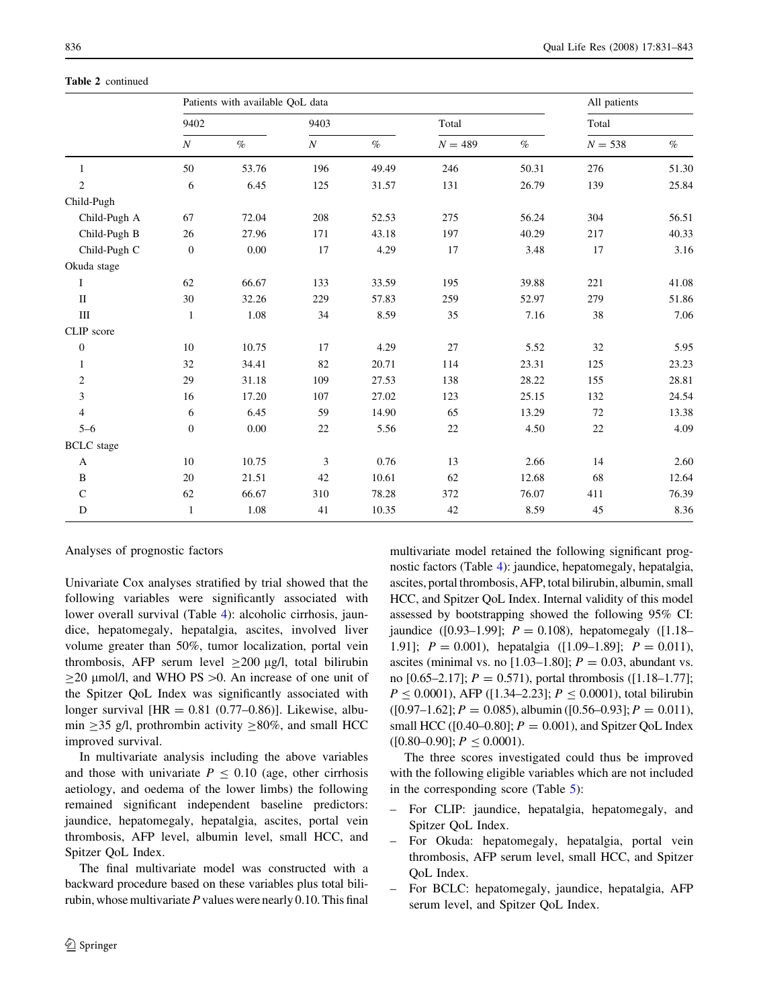Table 2 continued

|                         | Patients with available QoL data | All patients |          |       |           |       |           |       |  |
|-------------------------|----------------------------------|--------------|----------|-------|-----------|-------|-----------|-------|--|
|                         | 9402                             |              | 9403     |       |           | Total |           | Total |  |
|                         | $\cal N$                         | $\%$         | $\cal N$ | $\%$  | $N = 489$ | $\%$  | $N = 538$ | $\%$  |  |
| $\mathbf{1}$            | 50                               | 53.76        | 196      | 49.49 | 246       | 50.31 | 276       | 51.30 |  |
| $\overline{c}$          | 6                                | 6.45         | 125      | 31.57 | 131       | 26.79 | 139       | 25.84 |  |
| Child-Pugh              |                                  |              |          |       |           |       |           |       |  |
| Child-Pugh A            | 67                               | 72.04        | 208      | 52.53 | 275       | 56.24 | 304       | 56.51 |  |
| Child-Pugh B            | 26                               | 27.96        | 171      | 43.18 | 197       | 40.29 | 217       | 40.33 |  |
| Child-Pugh C            | $\boldsymbol{0}$                 | 0.00         | 17       | 4.29  | 17        | 3.48  | 17        | 3.16  |  |
| Okuda stage             |                                  |              |          |       |           |       |           |       |  |
| I                       | 62                               | 66.67        | 133      | 33.59 | 195       | 39.88 | 221       | 41.08 |  |
| $\rm II$                | 30                               | 32.26        | 229      | 57.83 | 259       | 52.97 | 279       | 51.86 |  |
| $\rm III$               | $\mathbf{1}$                     | 1.08         | 34       | 8.59  | 35        | 7.16  | 38        | 7.06  |  |
| CLIP score              |                                  |              |          |       |           |       |           |       |  |
| $\boldsymbol{0}$        | 10                               | 10.75        | 17       | 4.29  | 27        | 5.52  | 32        | 5.95  |  |
| $\mathbf{1}$            | 32                               | 34.41        | 82       | 20.71 | 114       | 23.31 | 125       | 23.23 |  |
| $\boldsymbol{2}$        | 29                               | 31.18        | 109      | 27.53 | 138       | 28.22 | 155       | 28.81 |  |
| 3                       | 16                               | 17.20        | 107      | 27.02 | 123       | 25.15 | 132       | 24.54 |  |
| $\overline{\mathbf{4}}$ | 6                                | 6.45         | 59       | 14.90 | 65        | 13.29 | 72        | 13.38 |  |
| $5 - 6$                 | $\boldsymbol{0}$                 | 0.00         | 22       | 5.56  | $22\,$    | 4.50  | 22        | 4.09  |  |
| <b>BCLC</b> stage       |                                  |              |          |       |           |       |           |       |  |
| $\mathbf{A}$            | 10                               | 10.75        | 3        | 0.76  | 13        | 2.66  | 14        | 2.60  |  |
| $\, {\bf B}$            | 20                               | 21.51        | 42       | 10.61 | 62        | 12.68 | 68        | 12.64 |  |
| $\mathsf{C}$            | 62                               | 66.67        | 310      | 78.28 | 372       | 76.07 | 411       | 76.39 |  |
| D                       | $\mathbf{1}$                     | 1.08         | 41       | 10.35 | 42        | 8.59  | 45        | 8.36  |  |

Analyses of prognostic factors

Univariate Cox analyses stratified by trial showed that the following variables were significantly associated with lower overall survival (Table [4\)](#page-8-0): alcoholic cirrhosis, jaundice, hepatomegaly, hepatalgia, ascites, involved liver volume greater than 50%, tumor localization, portal vein thrombosis, AFP serum level  $\geq$ 200 µg/l, total bilirubin  $>$ 20 µmol/l, and WHO PS  $>$ 0. An increase of one unit of the Spitzer QoL Index was significantly associated with longer survival  $[HR = 0.81 (0.77-0.86)]$ . Likewise, albumin  $\geq$ 35 g/l, prothrombin activity  $\geq$ 80%, and small HCC improved survival.

In multivariate analysis including the above variables and those with univariate  $P \le 0.10$  (age, other cirrhosis aetiology, and oedema of the lower limbs) the following remained significant independent baseline predictors: jaundice, hepatomegaly, hepatalgia, ascites, portal vein thrombosis, AFP level, albumin level, small HCC, and Spitzer QoL Index.

The final multivariate model was constructed with a backward procedure based on these variables plus total bilirubin, whose multivariate  $P$  values were nearly 0.10. This final multivariate model retained the following significant prognostic factors (Table [4\)](#page-8-0): jaundice, hepatomegaly, hepatalgia, ascites, portal thrombosis, AFP, total bilirubin, albumin, small HCC, and Spitzer QoL Index. Internal validity of this model assessed by bootstrapping showed the following 95% CI: jaundice ([0.93–1.99];  $P = 0.108$ ), hepatomegaly ([1.18– 1.91];  $P = 0.001$ , hepatalgia ([1.09–1.89];  $P = 0.011$ ), ascites (minimal vs. no [1.03–1.80];  $P = 0.03$ , abundant vs. no  $[0.65-2.17]$ ;  $P = 0.571$ ), portal thrombosis ([1.18-1.77];  $P \le 0.0001$ ), AFP ([1.34–2.23];  $P \le 0.0001$ ), total bilirubin  $([0.97-1.62]; P = 0.085)$ , albumin  $([0.56-0.93]; P = 0.011)$ , small HCC ([0.40–0.80];  $P = 0.001$ ), and Spitzer QoL Index  $([0.80-0.90]; P \le 0.0001$ .

The three scores investigated could thus be improved with the following eligible variables which are not included in the corresponding score (Table [5](#page-9-0)):

- For CLIP: jaundice, hepatalgia, hepatomegaly, and Spitzer QoL Index.
- For Okuda: hepatomegaly, hepatalgia, portal vein thrombosis, AFP serum level, small HCC, and Spitzer QoL Index.
- For BCLC: hepatomegaly, jaundice, hepatalgia, AFP serum level, and Spitzer QoL Index.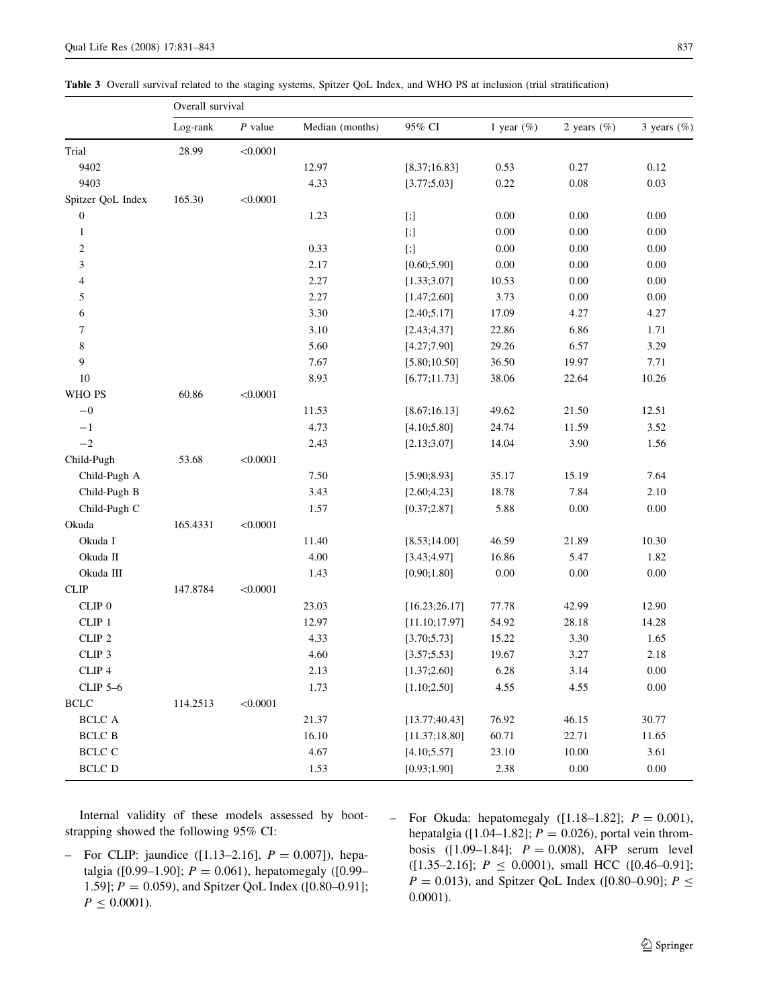<span id="page-6-0"></span>Table 3 Overall survival related to the staging systems, Spitzer QoL Index, and WHO PS at inclusion (trial stratification)

|                       | Overall survival |           |                 |                |               |                |                |  |  |  |  |
|-----------------------|------------------|-----------|-----------------|----------------|---------------|----------------|----------------|--|--|--|--|
|                       | Log-rank         | $P$ value | Median (months) | 95% CI         | 1 year $(\%)$ | 2 years $(\%)$ | 3 years $(\%)$ |  |  |  |  |
| Trial                 | 28.99            | < 0.0001  |                 |                |               |                |                |  |  |  |  |
| 9402                  |                  |           | 12.97           | [8.37;16.83]   | 0.53          | 0.27           | 0.12           |  |  |  |  |
| 9403                  |                  |           | 4.33            | [3.77; 5.03]   | 0.22          | $0.08\,$       | 0.03           |  |  |  |  |
| Spitzer QoL Index     | 165.30           | < 0.0001  |                 |                |               |                |                |  |  |  |  |
| $\boldsymbol{0}$      |                  |           | 1.23            | $[$            | 0.00          | 0.00           | 0.00           |  |  |  |  |
| $\mathbf{1}$          |                  |           |                 | $[$            | 0.00          | 0.00           | 0.00           |  |  |  |  |
| $\sqrt{2}$            |                  |           | 0.33            | $[$            | 0.00          | $0.00\,$       | 0.00           |  |  |  |  |
| 3                     |                  |           | 2.17            | [0.60; 5.90]   | 0.00          | 0.00           | 0.00           |  |  |  |  |
| 4                     |                  |           | 2.27            | [1.33; 3.07]   | 10.53         | 0.00           | 0.00           |  |  |  |  |
| 5                     |                  |           | 2.27            | [1.47;2.60]    | 3.73          | $0.00\,$       | $0.00\,$       |  |  |  |  |
| 6                     |                  |           | 3.30            | [2.40; 5.17]   | 17.09         | 4.27           | 4.27           |  |  |  |  |
| 7                     |                  |           | 3.10            | [2.43; 4.37]   | 22.86         | 6.86           | 1.71           |  |  |  |  |
| 8                     |                  |           | 5.60            | [4.27;7.90]    | 29.26         | 6.57           | 3.29           |  |  |  |  |
| 9                     |                  |           | 7.67            | [5.80; 10.50]  | 36.50         | 19.97          | 7.71           |  |  |  |  |
| 10                    |                  |           | 8.93            | [6.77;11.73]   | 38.06         | 22.64          | 10.26          |  |  |  |  |
| WHO PS                | 60.86            | < 0.0001  |                 |                |               |                |                |  |  |  |  |
| $\!-0$                |                  |           | 11.53           | [8.67;16.13]   | 49.62         | 21.50          | 12.51          |  |  |  |  |
| $-1$                  |                  |           | 4.73            | [4.10; 5.80]   | 24.74         | 11.59          | 3.52           |  |  |  |  |
| $-{\bf 2}$            |                  |           | 2.43            | [2.13; 3.07]   | 14.04         | 3.90           | 1.56           |  |  |  |  |
| Child-Pugh            | 53.68            | < 0.0001  |                 |                |               |                |                |  |  |  |  |
| Child-Pugh A          |                  |           | 7.50            | [5.90; 8.93]   | 35.17         | 15.19          | 7.64           |  |  |  |  |
| Child-Pugh B          |                  |           | 3.43            | [2.60; 4.23]   | 18.78         | 7.84           | 2.10           |  |  |  |  |
| Child-Pugh C          |                  |           | 1.57            | [0.37; 2.87]   | 5.88          | 0.00           | 0.00           |  |  |  |  |
| Okuda                 | 165.4331         | < 0.0001  |                 |                |               |                |                |  |  |  |  |
| Okuda I               |                  |           | 11.40           | [8.53;14.00]   | 46.59         | 21.89          | 10.30          |  |  |  |  |
| Okuda II              |                  |           | 4.00            | [3.43; 4.97]   | 16.86         | 5.47           | 1.82           |  |  |  |  |
| Okuda III             |                  |           | 1.43            | [0.90; 1.80]   | 0.00          | 0.00           | $0.00\,$       |  |  |  |  |
| <b>CLIP</b>           | 147.8784         | < 0.0001  |                 |                |               |                |                |  |  |  |  |
| CLIP 0                |                  |           | 23.03           | [16.23;26.17]  | 77.78         | 42.99          | 12.90          |  |  |  |  |
| CLIP 1                |                  |           | 12.97           | [11.10; 17.97] | 54.92         | 28.18          | 14.28          |  |  |  |  |
| CLIP <sub>2</sub>     |                  |           | 4.33            | [3.70; 5.73]   | 15.22         | 3.30           | 1.65           |  |  |  |  |
| CLIP 3                |                  |           | 4.60            | [3.57; 5.53]   | 19.67         | 3.27           | 2.18           |  |  |  |  |
| $CLIP$ $4$            |                  |           | 2.13            | [1.37;2.60]    | 6.28          | 3.14           | $0.00\,$       |  |  |  |  |
| <b>CLIP 5-6</b>       |                  |           | 1.73            | [1.10;2.50]    | 4.55          | 4.55           | 0.00           |  |  |  |  |
| $\operatorname{BCLC}$ | 114.2513         | < 0.0001  |                 |                |               |                |                |  |  |  |  |
| <b>BCLC A</b>         |                  |           | 21.37           | [13.77; 40.43] | 76.92         | 46.15          | 30.77          |  |  |  |  |
| $BCLC$ $\bar{B}$      |                  |           | 16.10           | [11.37;18.80]  | 60.71         | 22.71          | 11.65          |  |  |  |  |
| <b>BCLC C</b>         |                  |           | 4.67            | [4.10; 5.57]   | 23.10         | 10.00          | 3.61           |  |  |  |  |
| <b>BCLC D</b>         |                  |           | 1.53            | [0.93;1.90]    | 2.38          | $0.00\,$       | $0.00\,$       |  |  |  |  |

Internal validity of these models assessed by bootstrapping showed the following 95% CI:

- For CLIP: jaundice  $([1.13-2.16], P = 0.007]$ , hepatalgia ([0.99–1.90];  $P = 0.061$ ), hepatomegaly ([0.99– 1.59];  $P = 0.059$ , and Spitzer QoL Index ([0.80–0.91];  $P \leq 0.0001$ ).
- For Okuda: hepatomegaly  $([1.18-1.82]; P = 0.001)$ , hepatalgia ([1.04–1.82];  $P = 0.026$ ), portal vein thrombosis ([1.09-1.84];  $P = 0.008$ ), AFP serum level ([1.35–2.16];  $P \le 0.0001$ ), small HCC ([0.46–0.91];  $P = 0.013$ ), and Spitzer QoL Index ([0.80–0.90];  $P \le$ 0.0001).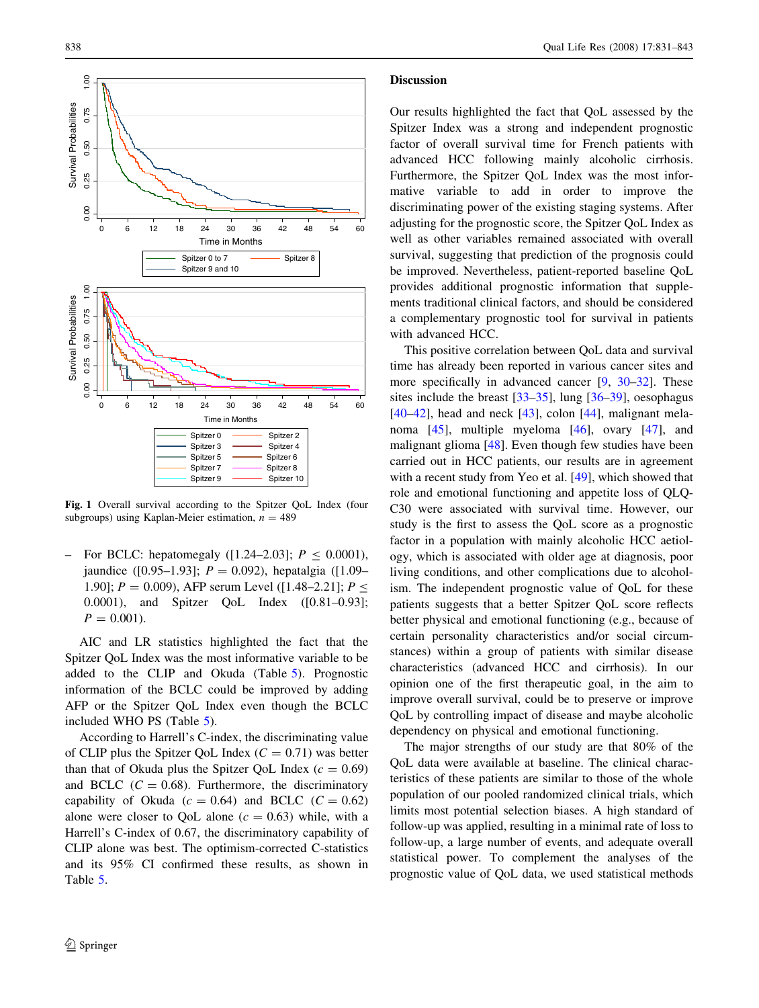<span id="page-7-0"></span>

Fig. 1 Overall survival according to the Spitzer QoL Index (four subgroups) using Kaplan-Meier estimation,  $n = 489$ 

- For BCLC: hepatomegaly ([1.24–2.03];  $P \le 0.0001$ ), jaundice ([0.95–1.93];  $P = 0.092$ ), hepatalgia ([1.09– 1.90];  $P = 0.009$ ), AFP serum Level ([1.48–2.21];  $P \le$ 0.0001), and Spitzer QoL Index ([0.81–0.93];  $P = 0.001$ .

AIC and LR statistics highlighted the fact that the Spitzer QoL Index was the most informative variable to be added to the CLIP and Okuda (Table [5\)](#page-9-0). Prognostic information of the BCLC could be improved by adding AFP or the Spitzer QoL Index even though the BCLC included WHO PS (Table [5\)](#page-9-0).

According to Harrell's C-index, the discriminating value of CLIP plus the Spitzer QoL Index ( $C = 0.71$ ) was better than that of Okuda plus the Spitzer QoL Index ( $c = 0.69$ ) and BCLC  $(C = 0.68)$ . Furthermore, the discriminatory capability of Okuda ( $c = 0.64$ ) and BCLC ( $C = 0.62$ ) alone were closer to QoL alone ( $c = 0.63$ ) while, with a Harrell's C-index of 0.67, the discriminatory capability of CLIP alone was best. The optimism-corrected C-statistics and its 95% CI confirmed these results, as shown in Table [5](#page-9-0).

#### **Discussion**

Our results highlighted the fact that QoL assessed by the Spitzer Index was a strong and independent prognostic factor of overall survival time for French patients with advanced HCC following mainly alcoholic cirrhosis. Furthermore, the Spitzer QoL Index was the most informative variable to add in order to improve the discriminating power of the existing staging systems. After adjusting for the prognostic score, the Spitzer QoL Index as well as other variables remained associated with overall survival, suggesting that prediction of the prognosis could be improved. Nevertheless, patient-reported baseline QoL provides additional prognostic information that supplements traditional clinical factors, and should be considered a complementary prognostic tool for survival in patients with advanced HCC.

This positive correlation between QoL data and survival time has already been reported in various cancer sites and more specifically in advanced cancer [\[9](#page-10-0), [30–32\]](#page-11-0). These sites include the breast [[33–35\]](#page-11-0), lung [[36–39\]](#page-11-0), oesophagus  $[40-42]$  $[40-42]$ , head and neck  $[43]$  $[43]$ , colon  $[44]$  $[44]$ , malignant melanoma [[45\]](#page-12-0), multiple myeloma [\[46](#page-12-0)], ovary [[47\]](#page-12-0), and malignant glioma [[48\]](#page-12-0). Even though few studies have been carried out in HCC patients, our results are in agreement with a recent study from Yeo et al. [\[49](#page-12-0)], which showed that role and emotional functioning and appetite loss of QLQ-C30 were associated with survival time. However, our study is the first to assess the QoL score as a prognostic factor in a population with mainly alcoholic HCC aetiology, which is associated with older age at diagnosis, poor living conditions, and other complications due to alcoholism. The independent prognostic value of QoL for these patients suggests that a better Spitzer QoL score reflects better physical and emotional functioning (e.g., because of certain personality characteristics and/or social circumstances) within a group of patients with similar disease characteristics (advanced HCC and cirrhosis). In our opinion one of the first therapeutic goal, in the aim to improve overall survival, could be to preserve or improve QoL by controlling impact of disease and maybe alcoholic dependency on physical and emotional functioning.

The major strengths of our study are that 80% of the QoL data were available at baseline. The clinical characteristics of these patients are similar to those of the whole population of our pooled randomized clinical trials, which limits most potential selection biases. A high standard of follow-up was applied, resulting in a minimal rate of loss to follow-up, a large number of events, and adequate overall statistical power. To complement the analyses of the prognostic value of QoL data, we used statistical methods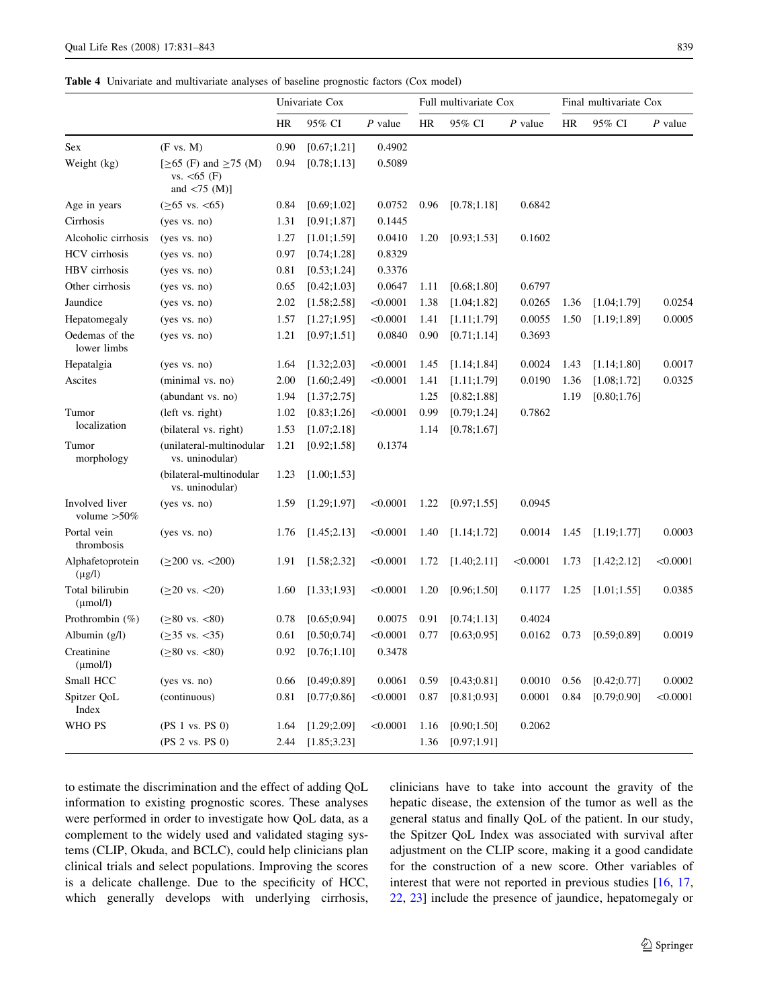<span id="page-8-0"></span>

|                                     |                                                                                       |           | Univariate Cox |           |           | Full multivariate Cox |           | Final multivariate Cox |              |           |
|-------------------------------------|---------------------------------------------------------------------------------------|-----------|----------------|-----------|-----------|-----------------------|-----------|------------------------|--------------|-----------|
|                                     |                                                                                       | <b>HR</b> | 95% CI         | $P$ value | <b>HR</b> | 95% CI                | $P$ value | <b>HR</b>              | 95% CI       | $P$ value |
| Sex                                 | (F vs. M)                                                                             | 0.90      | [0.67;1.21]    | 0.4902    |           |                       |           |                        |              |           |
| Weight (kg)                         | $[\geq 65$ (F) and $\geq 75$ (M)<br>$vs. < 65$ (F)<br>and $\langle 75 \, (M) \rangle$ | 0.94      | [0.78;1.13]    | 0.5089    |           |                       |           |                        |              |           |
| Age in years                        | $(≥65 \text{ vs.} < 65)$                                                              | 0.84      | [0.69; 1.02]   | 0.0752    | 0.96      | [0.78;1.18]           | 0.6842    |                        |              |           |
| Cirrhosis                           | (yes vs. no)                                                                          | 1.31      | [0.91; 1.87]   | 0.1445    |           |                       |           |                        |              |           |
| Alcoholic cirrhosis                 | (yes vs. no)                                                                          | 1.27      | [1.01; 1.59]   | 0.0410    | 1.20      | [0.93; 1.53]          | 0.1602    |                        |              |           |
| HCV cirrhosis                       | (yes vs. no)                                                                          | 0.97      | [0.74;1.28]    | 0.8329    |           |                       |           |                        |              |           |
| HBV cirrhosis                       | (yes vs. no)                                                                          | 0.81      | [0.53;1.24]    | 0.3376    |           |                       |           |                        |              |           |
| Other cirrhosis                     | (yes vs. no)                                                                          | 0.65      | [0.42;1.03]    | 0.0647    | 1.11      | [0.68; 1.80]          | 0.6797    |                        |              |           |
| Jaundice                            | (yes vs. no)                                                                          | 2.02      | [1.58; 2.58]   | < 0.0001  | 1.38      | [1.04; 1.82]          | 0.0265    | 1.36                   | [1.04; 1.79] | 0.0254    |
| Hepatomegaly                        | (yes vs. no)                                                                          | 1.57      | [1.27;1.95]    | < 0.0001  | 1.41      | [1.11; 1.79]          | 0.0055    | 1.50                   | [1.19; 1.89] | 0.0005    |
| Oedemas of the<br>lower limbs       | (yes vs. no)                                                                          | 1.21      | [0.97; 1.51]   | 0.0840    | 0.90      | [0.71;1.14]           | 0.3693    |                        |              |           |
| Hepatalgia                          | (yes vs. no)                                                                          | 1.64      | [1.32; 2.03]   | < 0.0001  | 1.45      | [1.14; 1.84]          | 0.0024    | 1.43                   | [1.14; 1.80] | 0.0017    |
| Ascites                             | (minimal vs. no)                                                                      | 2.00      | [1.60; 2.49]   | < 0.0001  | 1.41      | [1.11;1.79]           | 0.0190    | 1.36                   | [1.08; 1.72] | 0.0325    |
|                                     | (abundant vs. no)                                                                     | 1.94      | [1.37;2.75]    |           | 1.25      | [0.82; 1.88]          |           | 1.19                   | [0.80; 1.76] |           |
| Tumor                               | (left vs. right)                                                                      | 1.02      | [0.83; 1.26]   | < 0.0001  | 0.99      | [0.79; 1.24]          | 0.7862    |                        |              |           |
| localization                        | (bilateral vs. right)                                                                 | 1.53      | [1.07;2.18]    |           | 1.14      | [0.78;1.67]           |           |                        |              |           |
| Tumor<br>morphology                 | (unilateral-multinodular<br>vs. uninodular)                                           | 1.21      | [0.92; 1.58]   | 0.1374    |           |                       |           |                        |              |           |
|                                     | (bilateral-multinodular<br>vs. uninodular)                                            | 1.23      | [1.00; 1.53]   |           |           |                       |           |                        |              |           |
| Involved liver<br>volume $>50\%$    | (yes vs. no)                                                                          | 1.59      | [1.29; 1.97]   | < 0.0001  | 1.22      | [0.97; 1.55]          | 0.0945    |                        |              |           |
| Portal vein<br>thrombosis           | (yes vs. no)                                                                          | 1.76      | [1.45;2.13]    | < 0.0001  | 1.40      | [1.14;1.72]           | 0.0014    | 1.45                   | [1.19; 1.77] | 0.0003    |
| Alphafetoprotein<br>$(\mu g/l)$     | $(\geq 200 \text{ vs. } \leq 200)$                                                    | 1.91      | [1.58; 2.32]   | < 0.0001  | 1.72      | [1.40;2.11]           | < 0.0001  | 1.73                   | [1.42;2.12]  | < 0.0001  |
| Total bilirubin<br>$(\mu$ mol/l $)$ | $(≥20 \text{ vs.} < 20)$                                                              | 1.60      | [1.33; 1.93]   | < 0.0001  | 1.20      | [0.96; 1.50]          | 0.1177    | 1.25                   | [1.01; 1.55] | 0.0385    |
| Prothrombin (%)                     | $( \geq 80 \text{ vs. } < 80)$                                                        | 0.78      | [0.65; 0.94]   | 0.0075    | 0.91      | [0.74;1.13]           | 0.4024    |                        |              |           |
| Albumin $(g/l)$                     | $(≥35 \text{ vs.} < 35)$                                                              | 0.61      | [0.50; 0.74]   | < 0.0001  | 0.77      | [0.63; 0.95]          | 0.0162    | 0.73                   | [0.59; 0.89] | 0.0019    |
| Creatinine<br>$(\mu \text{mol/l})$  | $( \ge 80 \text{ vs. } < 80)$                                                         | 0.92      | [0.76;1.10]    | 0.3478    |           |                       |           |                        |              |           |
| Small HCC                           | (yes vs. no)                                                                          | 0.66      | [0.49; 0.89]   | 0.0061    | 0.59      | [0.43; 0.81]          | 0.0010    | 0.56                   | [0.42; 0.77] | 0.0002    |
| Spitzer QoL<br>Index                | (continuous)                                                                          | 0.81      | [0.77; 0.86]   | < 0.0001  | 0.87      | [0.81; 0.93]          | 0.0001    | 0.84                   | [0.79; 0.90] | < 0.0001  |
| WHO PS                              | (PS 1 vs. PS 0)                                                                       | 1.64      | [1.29; 2.09]   | < 0.0001  | 1.16      | [0.90; 1.50]          | 0.2062    |                        |              |           |
|                                     | (PS 2 vs. PS 0)                                                                       | 2.44      | [1.85; 3.23]   |           | 1.36      | [0.97;1.91]           |           |                        |              |           |

to estimate the discrimination and the effect of adding QoL information to existing prognostic scores. These analyses were performed in order to investigate how QoL data, as a complement to the widely used and validated staging systems (CLIP, Okuda, and BCLC), could help clinicians plan clinical trials and select populations. Improving the scores is a delicate challenge. Due to the specificity of HCC, which generally develops with underlying cirrhosis,

clinicians have to take into account the gravity of the hepatic disease, the extension of the tumor as well as the general status and finally QoL of the patient. In our study, the Spitzer QoL Index was associated with survival after adjustment on the CLIP score, making it a good candidate for the construction of a new score. Other variables of interest that were not reported in previous studies [[16,](#page-11-0) [17,](#page-11-0) [22](#page-11-0), [23\]](#page-11-0) include the presence of jaundice, hepatomegaly or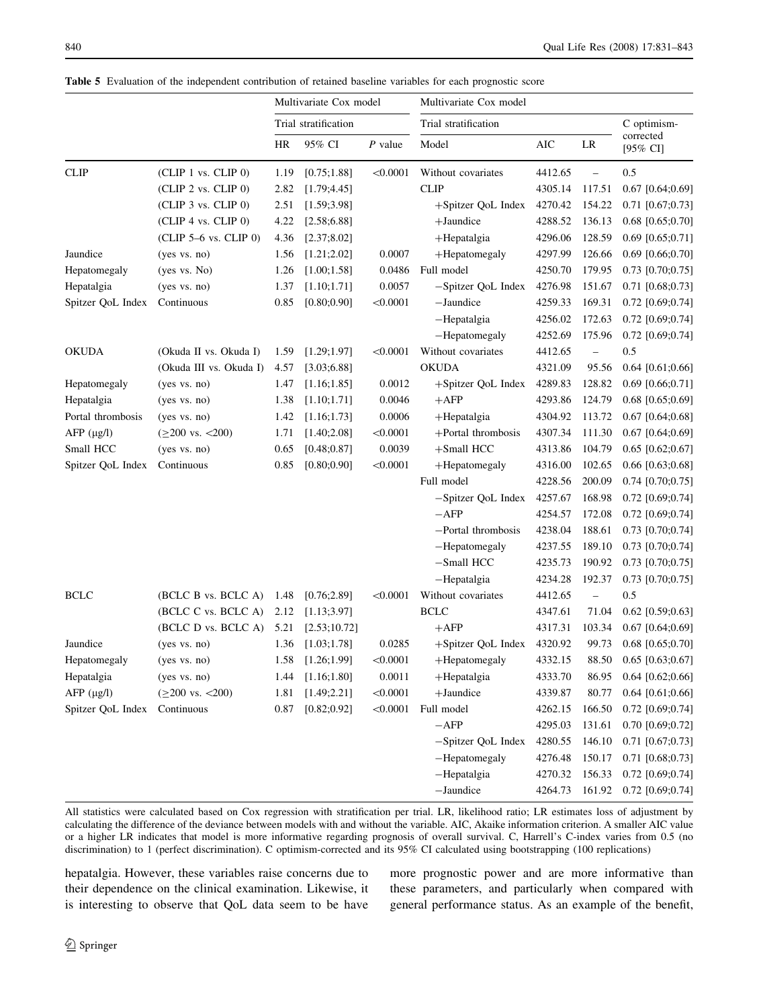|                    |                                    | Multivariate Cox model |                      |          | Multivariate Cox model |            |                   |                         |  |
|--------------------|------------------------------------|------------------------|----------------------|----------|------------------------|------------|-------------------|-------------------------|--|
|                    |                                    |                        | Trial stratification |          | Trial stratification   |            |                   | C optimism-             |  |
|                    |                                    | 95% CI<br>HR           |                      | P value  | Model                  | <b>AIC</b> | LR.               | corrected<br>[95% CI]   |  |
| <b>CLIP</b>        | (CLIP 1 vs. CLIP 0)                | 1.19                   | [0.75; 1.88]         | < 0.0001 | Without covariates     | 4412.65    | $\qquad \qquad -$ | 0.5                     |  |
|                    | (CLIP 2 vs. CLIP 0)                | 2.82                   | [1.79; 4.45]         |          | <b>CLIP</b>            | 4305.14    | 117.51            | $0.67$ [0.64;0.69]      |  |
|                    | (CLIP 3 vs. CLIP 0)                | 2.51                   | [1.59; 3.98]         |          | +Spitzer QoL Index     | 4270.42    | 154.22            | $0.71$ [0.67;0.73]      |  |
|                    | (CLIP 4 vs. CLIP 0)                | 4.22                   | [2.58; 6.88]         |          | $+$ Jaundice           | 4288.52    | 136.13            | $0.68$ [0.65;0.70]      |  |
|                    | (CLIP 5-6 vs. CLIP 0)              | 4.36                   | [2.37;8.02]          |          | +Hepatalgia            | 4296.06    | 128.59            | $0.69$ [0.65;0.71]      |  |
| Jaundice           | ives vs. no)                       | 1.56                   | [1.21;2.02]          | 0.0007   | +Hepatomegaly          | 4297.99    | 126.66            | $0.69$ [0.66;0.70]      |  |
| Hepatomegaly       | (yes vs. No)                       | 1.26                   | [1.00; 1.58]         | 0.0486   | Full model             | 4250.70    | 179.95            | $0.73$ [0.70;0.75]      |  |
| Hepatalgia         | (yes vs. no)                       | 1.37                   | [1.10; 1.71]         | 0.0057   | -Spitzer QoL Index     | 4276.98    | 151.67            | $0.71$ [0.68;0.73]      |  |
| Spitzer QoL Index  | Continuous                         | 0.85                   | [0.80; 0.90]         | < 0.0001 | -Jaundice              | 4259.33    | 169.31            | $0.72$ [0.69;0.74]      |  |
|                    |                                    |                        |                      |          | -Hepatalgia            | 4256.02    | 172.63            | $0.72$ [0.69;0.74]      |  |
|                    |                                    |                        |                      |          | -Hepatomegaly          | 4252.69    | 175.96            | $0.72$ [0.69;0.74]      |  |
| <b>OKUDA</b>       | (Okuda II vs. Okuda I)             | 1.59                   | [1.29; 1.97]         | < 0.0001 | Without covariates     | 4412.65    | $\qquad \qquad -$ | 0.5                     |  |
|                    | (Okuda III vs. Okuda I)            | 4.57                   | [3.03; 6.88]         |          | <b>OKUDA</b>           | 4321.09    | 95.56             | $0.64$ [0.61;0.66]      |  |
| Hepatomegaly       | (yes vs. no)                       | 1.47                   | [1.16; 1.85]         | 0.0012   | +Spitzer QoL Index     | 4289.83    | 128.82            | $0.69$ [0.66;0.71]      |  |
| Hepatalgia         | (yes vs. no)                       | 1.38                   | [1.10; 1.71]         | 0.0046   | $+$ AFP                | 4293.86    | 124.79            | $0.68$ [0.65;0.69]      |  |
| Portal thrombosis  | (yes vs. no)                       | 1.42                   | [1.16; 1.73]         | 0.0006   | $+$ Hepatalgia         | 4304.92    | 113.72            | $0.67$ [0.64;0.68]      |  |
| $AFP$ ( $\mu$ g/l) | $(\geq 200 \text{ vs. } \leq 200)$ | 1.71                   | [1.40;2.08]          | < 0.0001 | +Portal thrombosis     | 4307.34    | 111.30            | $0.67$ [0.64;0.69]      |  |
| Small HCC          | (yes vs. no)                       | 0.65                   | [0.48; 0.87]         | 0.0039   | +Small HCC             | 4313.86    | 104.79            | $0.65$ [0.62;0.67]      |  |
| Spitzer QoL Index  | Continuous                         | 0.85                   | [0.80; 0.90]         | < 0.0001 | +Hepatomegaly          | 4316.00    | 102.65            | $0.66$ [0.63;0.68]      |  |
|                    |                                    |                        |                      |          | Full model             | 4228.56    | 200.09            | $0.74$ [0.70;0.75]      |  |
|                    |                                    |                        |                      |          | -Spitzer QoL Index     | 4257.67    | 168.98            | $0.72$ [0.69;0.74]      |  |
|                    |                                    |                        |                      |          | $-AFP$                 | 4254.57    | 172.08            | $0.72$ [0.69;0.74]      |  |
|                    |                                    |                        |                      |          | -Portal thrombosis     | 4238.04    | 188.61            | 0.73 [0.70;0.74]        |  |
|                    |                                    |                        |                      |          | -Hepatomegaly          | 4237.55    | 189.10            | $0.73$ [0.70;0.74]      |  |
|                    |                                    |                        |                      |          | -Small HCC             | 4235.73    | 190.92            | $0.73$ [0.70;0.75]      |  |
|                    |                                    |                        |                      |          | -Hepatalgia            | 4234.28    | 192.37            | $0.73$ [0.70;0.75]      |  |
| BCLC               | (BCLC B vs. BCLC A)                | 1.48                   | [0.76; 2.89]         | < 0.0001 | Without covariates     | 4412.65    | $\equiv$          | 0.5                     |  |
|                    | (BCLC C vs. BCLC A)                | 2.12                   | [1.13; 3.97]         |          | <b>BCLC</b>            | 4347.61    | 71.04             | $0.62$ [0.59;0.63]      |  |
|                    | (BCLC D vs. BCLC A)                | 5.21                   | [2.53;10.72]         |          | $+AFP$                 | 4317.31    | 103.34            | $0.67$ [0.64;0.69]      |  |
| Jaundice           | (yes vs. no)                       | 1.36                   | [1.03; 1.78]         | 0.0285   | +Spitzer QoL Index     | 4320.92    | 99.73             | $0.68$ [0.65;0.70]      |  |
| Hepatomegaly       | (yes vs. no)                       |                        | 1.58 [1.26;1.99]     | < 0.0001 | +Hepatomegaly          | 4332.15    |                   | 88.50  0.65 [0.63;0.67] |  |
| Hepatalgia         | (yes vs. no)                       | 1.44                   | [1.16; 1.80]         | 0.0011   | $+$ Hepatalgia         | 4333.70    |                   | 86.95 0.64 [0.62;0.66]  |  |
| $AFP$ ( $\mu$ g/l) | $(\geq 200 \text{ vs. } \leq 200)$ | 1.81                   | [1.49; 2.21]         | < 0.0001 | +Jaundice              | 4339.87    | 80.77             | $0.64$ [0.61;0.66]      |  |
| Spitzer QoL Index  | Continuous                         | 0.87                   | [0.82; 0.92]         | < 0.0001 | Full model             | 4262.15    | 166.50            | $0.72$ [0.69;0.74]      |  |
|                    |                                    |                        |                      |          | $-{\rm AFP}$           | 4295.03    | 131.61            | $0.70$ [0.69;0.72]      |  |
|                    |                                    |                        |                      |          | -Spitzer QoL Index     | 4280.55    | 146.10            | $0.71$ [0.67;0.73]      |  |
|                    |                                    |                        |                      |          | -Hepatomegaly          | 4276.48    | 150.17            | $0.71$ [0.68;0.73]      |  |
|                    |                                    |                        |                      |          | -Hepatalgia            | 4270.32    | 156.33            | $0.72$ [0.69;0.74]      |  |
|                    |                                    |                        |                      |          | $-Ja$ undice           | 4264.73    | 161.92            | $0.72$ [0.69;0.74]      |  |

<span id="page-9-0"></span>Table 5 Evaluation of the independent contribution of retained baseline variables for each prognostic score

All statistics were calculated based on Cox regression with stratification per trial. LR, likelihood ratio; LR estimates loss of adjustment by calculating the difference of the deviance between models with and without the variable. AIC, Akaike information criterion. A smaller AIC value or a higher LR indicates that model is more informative regarding prognosis of overall survival. C, Harrell's C-index varies from 0.5 (no discrimination) to 1 (perfect discrimination). C optimism-corrected and its 95% CI calculated using bootstrapping (100 replications)

hepatalgia. However, these variables raise concerns due to their dependence on the clinical examination. Likewise, it is interesting to observe that QoL data seem to be have more prognostic power and are more informative than these parameters, and particularly when compared with general performance status. As an example of the benefit,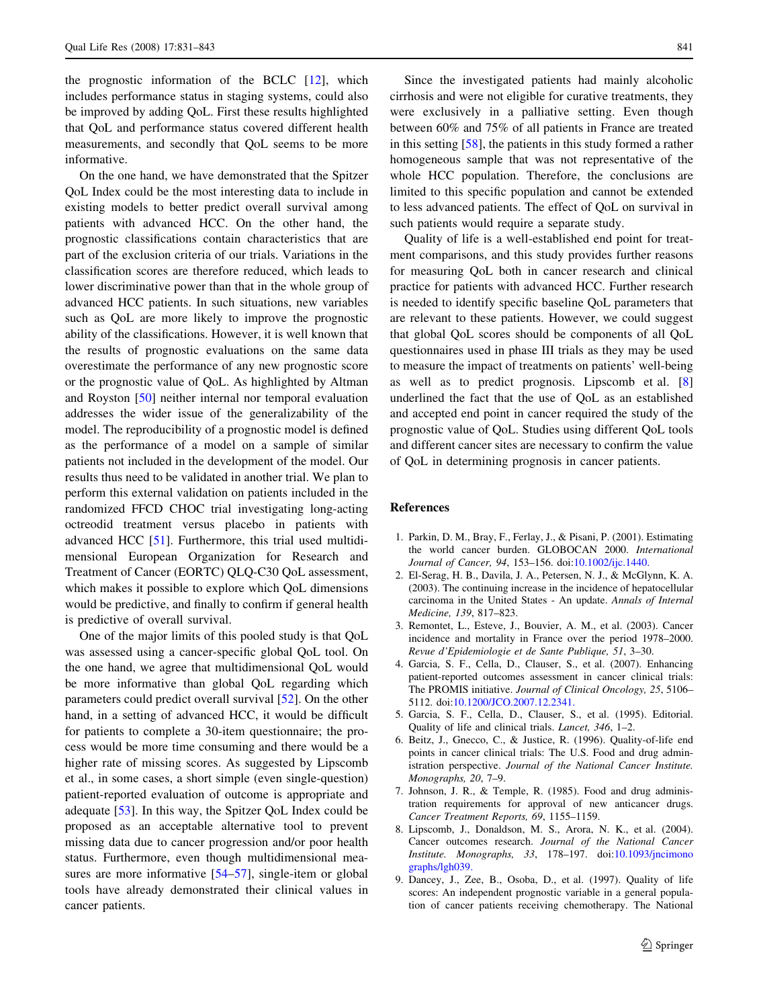<span id="page-10-0"></span>the prognostic information of the BCLC [\[12](#page-11-0)], which includes performance status in staging systems, could also be improved by adding QoL. First these results highlighted that QoL and performance status covered different health measurements, and secondly that QoL seems to be more informative.

On the one hand, we have demonstrated that the Spitzer QoL Index could be the most interesting data to include in existing models to better predict overall survival among patients with advanced HCC. On the other hand, the prognostic classifications contain characteristics that are part of the exclusion criteria of our trials. Variations in the classification scores are therefore reduced, which leads to lower discriminative power than that in the whole group of advanced HCC patients. In such situations, new variables such as QoL are more likely to improve the prognostic ability of the classifications. However, it is well known that the results of prognostic evaluations on the same data overestimate the performance of any new prognostic score or the prognostic value of QoL. As highlighted by Altman and Royston [\[50](#page-12-0)] neither internal nor temporal evaluation addresses the wider issue of the generalizability of the model. The reproducibility of a prognostic model is defined as the performance of a model on a sample of similar patients not included in the development of the model. Our results thus need to be validated in another trial. We plan to perform this external validation on patients included in the randomized FFCD CHOC trial investigating long-acting octreodid treatment versus placebo in patients with advanced HCC [\[51](#page-12-0)]. Furthermore, this trial used multidimensional European Organization for Research and Treatment of Cancer (EORTC) QLQ-C30 QoL assessment, which makes it possible to explore which QoL dimensions would be predictive, and finally to confirm if general health is predictive of overall survival.

One of the major limits of this pooled study is that QoL was assessed using a cancer-specific global QoL tool. On the one hand, we agree that multidimensional QoL would be more informative than global QoL regarding which parameters could predict overall survival [[52\]](#page-12-0). On the other hand, in a setting of advanced HCC, it would be difficult for patients to complete a 30-item questionnaire; the process would be more time consuming and there would be a higher rate of missing scores. As suggested by Lipscomb et al., in some cases, a short simple (even single-question) patient-reported evaluation of outcome is appropriate and adequate [[53\]](#page-12-0). In this way, the Spitzer QoL Index could be proposed as an acceptable alternative tool to prevent missing data due to cancer progression and/or poor health status. Furthermore, even though multidimensional measures are more informative [[54–57\]](#page-12-0), single-item or global tools have already demonstrated their clinical values in cancer patients.

Since the investigated patients had mainly alcoholic cirrhosis and were not eligible for curative treatments, they were exclusively in a palliative setting. Even though between 60% and 75% of all patients in France are treated in this setting [\[58](#page-12-0)], the patients in this study formed a rather homogeneous sample that was not representative of the whole HCC population. Therefore, the conclusions are limited to this specific population and cannot be extended to less advanced patients. The effect of QoL on survival in such patients would require a separate study.

Quality of life is a well-established end point for treatment comparisons, and this study provides further reasons for measuring QoL both in cancer research and clinical practice for patients with advanced HCC. Further research is needed to identify specific baseline QoL parameters that are relevant to these patients. However, we could suggest that global QoL scores should be components of all QoL questionnaires used in phase III trials as they may be used to measure the impact of treatments on patients' well-being as well as to predict prognosis. Lipscomb et al. [8] underlined the fact that the use of QoL as an established and accepted end point in cancer required the study of the prognostic value of QoL. Studies using different QoL tools and different cancer sites are necessary to confirm the value of QoL in determining prognosis in cancer patients.

## References

- 1. Parkin, D. M., Bray, F., Ferlay, J., & Pisani, P. (2001). Estimating the world cancer burden. GLOBOCAN 2000. International Journal of Cancer, 94, 153–156. doi[:10.1002/ijc.1440.](http://dx.doi.org/10.1002/ijc.1440.)
- 2. El-Serag, H. B., Davila, J. A., Petersen, N. J., & McGlynn, K. A. (2003). The continuing increase in the incidence of hepatocellular carcinoma in the United States - An update. Annals of Internal Medicine, 139, 817–823.
- 3. Remontet, L., Esteve, J., Bouvier, A. M., et al. (2003). Cancer incidence and mortality in France over the period 1978–2000. Revue d'Epidemiologie et de Sante Publique, 51, 3–30.
- 4. Garcia, S. F., Cella, D., Clauser, S., et al. (2007). Enhancing patient-reported outcomes assessment in cancer clinical trials: The PROMIS initiative. Journal of Clinical Oncology, 25, 5106– 5112. doi:[10.1200/JCO.2007.12.2341.](http://dx.doi.org/10.1200/JCO.2007.12.2341.)
- 5. Garcia, S. F., Cella, D., Clauser, S., et al. (1995). Editorial. Quality of life and clinical trials. Lancet, 346, 1–2.
- 6. Beitz, J., Gnecco, C., & Justice, R. (1996). Quality-of-life end points in cancer clinical trials: The U.S. Food and drug administration perspective. Journal of the National Cancer Institute. Monographs, 20, 7–9.
- 7. Johnson, J. R., & Temple, R. (1985). Food and drug administration requirements for approval of new anticancer drugs. Cancer Treatment Reports, 69, 1155–1159.
- 8. Lipscomb, J., Donaldson, M. S., Arora, N. K., et al. (2004). Cancer outcomes research. Journal of the National Cancer Institute. Monographs, 33, 178–197. doi[:10.1093/jncimono](http://dx.doi.org/10.1093/jncimonographs/lgh039.) [graphs/lgh039.](http://dx.doi.org/10.1093/jncimonographs/lgh039.)
- 9. Dancey, J., Zee, B., Osoba, D., et al. (1997). Quality of life scores: An independent prognostic variable in a general population of cancer patients receiving chemotherapy. The National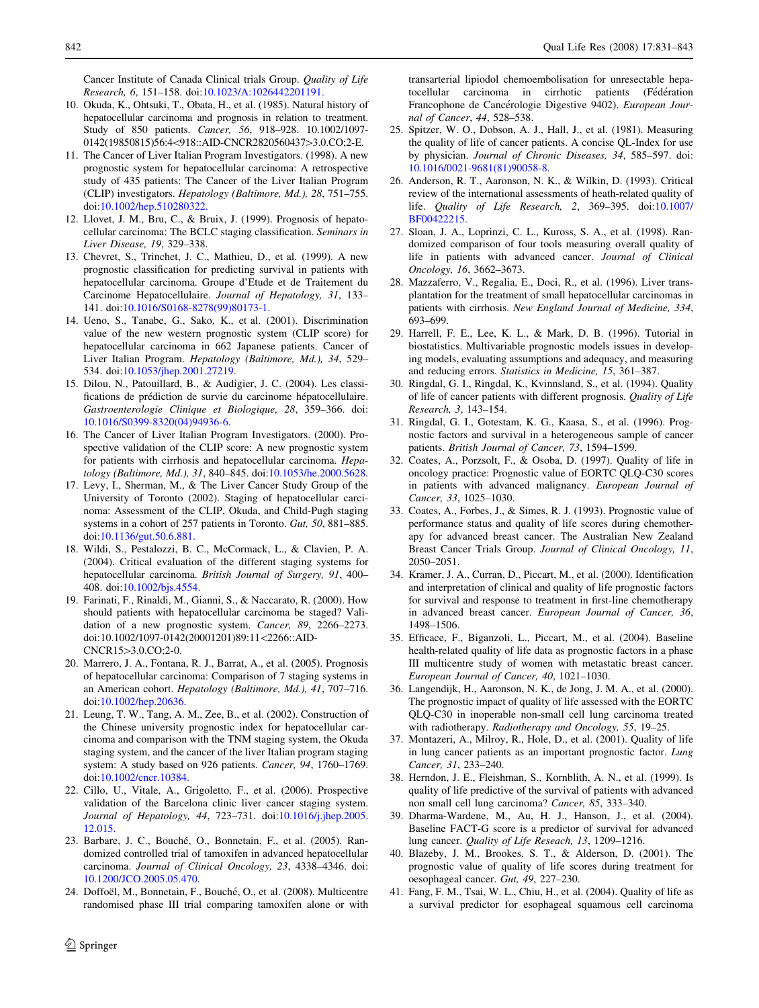<span id="page-11-0"></span>Cancer Institute of Canada Clinical trials Group. Quality of Life Research, 6, 151–158. doi[:10.1023/A:1026442201191.](http://dx.doi.org/10.1023/A:1026442201191.)

- 10. Okuda, K., Ohtsuki, T., Obata, H., et al. (1985). Natural history of hepatocellular carcinoma and prognosis in relation to treatment. Study of 850 patients. Cancer, 56, 918–928. 10.1002/1097- 0142(19850815)56:4<918::AID-CNCR2820560437>3.0.CO;2-E.
- 11. The Cancer of Liver Italian Program Investigators. (1998). A new prognostic system for hepatocellular carcinoma: A retrospective study of 435 patients: The Cancer of the Liver Italian Program (CLIP) investigators. Hepatology (Baltimore, Md.), 28, 751–755. doi:[10.1002/hep.510280322.](http://dx.doi.org/10.1002/hep.510280322.)
- 12. Llovet, J. M., Bru, C., & Bruix, J. (1999). Prognosis of hepatocellular carcinoma: The BCLC staging classification. Seminars in Liver Disease, 19, 329–338.
- 13. Chevret, S., Trinchet, J. C., Mathieu, D., et al. (1999). A new prognostic classification for predicting survival in patients with hepatocellular carcinoma. Groupe d'Etude et de Traitement du Carcinome Hepatocellulaire. Journal of Hepatology, 31, 133– 141. doi[:10.1016/S0168-8278\(99\)80173-1.](http://dx.doi.org/10.1016/S0168-8278(99)80173-1.)
- 14. Ueno, S., Tanabe, G., Sako, K., et al. (2001). Discrimination value of the new western prognostic system (CLIP score) for hepatocellular carcinoma in 662 Japanese patients. Cancer of Liver Italian Program. Hepatology (Baltimore, Md.), 34, 529– 534. doi[:10.1053/jhep.2001.27219.](http://dx.doi.org/10.1053/jhep.2001.27219.)
- 15. Dilou, N., Patouillard, B., & Audigier, J. C. (2004). Les classifications de prédiction de survie du carcinome hépatocellulaire. Gastroenterologie Clinique et Biologique, 28, 359–366. doi: [10.1016/S0399-8320\(04\)94936-6.](http://dx.doi.org/10.1016/S0399-8320(04)94936-6.)
- 16. The Cancer of Liver Italian Program Investigators. (2000). Prospective validation of the CLIP score: A new prognostic system for patients with cirrhosis and hepatocellular carcinoma. Hepatology (Baltimore, Md.), 31, 840–845. doi:[10.1053/he.2000.5628.](http://dx.doi.org/10.1053/he.2000.5628.)
- 17. Levy, I., Sherman, M., & The Liver Cancer Study Group of the University of Toronto (2002). Staging of hepatocellular carcinoma: Assessment of the CLIP, Okuda, and Child-Pugh staging systems in a cohort of 257 patients in Toronto. Gut, 50, 881–885. doi:[10.1136/gut.50.6.881.](http://dx.doi.org/10.1136/gut.50.6.881.)
- 18. Wildi, S., Pestalozzi, B. C., McCormack, L., & Clavien, P. A. (2004). Critical evaluation of the different staging systems for hepatocellular carcinoma. British Journal of Surgery, 91, 400– 408. doi[:10.1002/bjs.4554.](http://dx.doi.org/10.1002/bjs.4554.)
- 19. Farinati, F., Rinaldi, M., Gianni, S., & Naccarato, R. (2000). How should patients with hepatocellular carcinoma be staged? Validation of a new prognostic system. Cancer, 89, 2266–2273. doi:10.1002/1097-0142(20001201)89:11\2266::AID-CNCR15>3.0.CO;2-0.
- 20. Marrero, J. A., Fontana, R. J., Barrat, A., et al. (2005). Prognosis of hepatocellular carcinoma: Comparison of 7 staging systems in an American cohort. Hepatology (Baltimore, Md.), 41, 707–716. doi:[10.1002/hep.20636.](http://dx.doi.org/10.1002/hep.20636.)
- 21. Leung, T. W., Tang, A. M., Zee, B., et al. (2002). Construction of the Chinese university prognostic index for hepatocellular carcinoma and comparison with the TNM staging system, the Okuda staging system, and the cancer of the liver Italian program staging system: A study based on 926 patients. Cancer, 94, 1760–1769. doi:[10.1002/cncr.10384.](http://dx.doi.org/10.1002/cncr.10384.)
- 22. Cillo, U., Vitale, A., Grigoletto, F., et al. (2006). Prospective validation of the Barcelona clinic liver cancer staging system. Journal of Hepatology, 44, 723–731. doi:[10.1016/j.jhep.2005.](http://dx.doi.org/10.1016/j.jhep.2005.12.015.) [12.015.](http://dx.doi.org/10.1016/j.jhep.2005.12.015.)
- 23. Barbare, J. C., Bouché, O., Bonnetain, F., et al. (2005). Randomized controlled trial of tamoxifen in advanced hepatocellular carcinoma. Journal of Clinical Oncology, 23, 4338–4346. doi: [10.1200/JCO.2005.05.470.](http://dx.doi.org/10.1200/JCO.2005.05.470.)
- 24. Doffoël, M., Bonnetain, F., Bouché, O., et al. (2008). Multicentre randomised phase III trial comparing tamoxifen alone or with

 $\textcircled{2}$  Springer

transarterial lipiodol chemoembolisation for unresectable hepatocellular carcinoma in cirrhotic patients (Fédération Francophone de Cancérologie Digestive 9402). European Journal of Cancer, 44, 528–538.

- 25. Spitzer, W. O., Dobson, A. J., Hall, J., et al. (1981). Measuring the quality of life of cancer patients. A concise QL-Index for use by physician. Journal of Chronic Diseases, 34, 585–597. doi: [10.1016/0021-9681\(81\)90058-8.](http://dx.doi.org/10.1016/0021-9681(81)90058-8.)
- 26. Anderson, R. T., Aaronson, N. K., & Wilkin, D. (1993). Critical review of the international assessments of heath-related quality of life. Quality of Life Research, 2, 369–395. doi[:10.1007/](http://dx.doi.org/10.1007/BF00422215.) [BF00422215.](http://dx.doi.org/10.1007/BF00422215.)
- 27. Sloan, J. A., Loprinzi, C. L., Kuross, S. A., et al. (1998). Randomized comparison of four tools measuring overall quality of life in patients with advanced cancer. Journal of Clinical Oncology, 16, 3662–3673.
- 28. Mazzaferro, V., Regalia, E., Doci, R., et al. (1996). Liver transplantation for the treatment of small hepatocellular carcinomas in patients with cirrhosis. New England Journal of Medicine, 334, 693–699.
- 29. Harrell, F. E., Lee, K. L., & Mark, D. B. (1996). Tutorial in biostatistics. Multivariable prognostic models issues in developing models, evaluating assumptions and adequacy, and measuring and reducing errors. Statistics in Medicine, 15, 361–387.
- 30. Ringdal, G. I., Ringdal, K., Kvinnsland, S., et al. (1994). Quality of life of cancer patients with different prognosis. Quality of Life Research, 3, 143–154.
- 31. Ringdal, G. I., Gotestam, K. G., Kaasa, S., et al. (1996). Prognostic factors and survival in a heterogeneous sample of cancer patients. British Journal of Cancer, 73, 1594–1599.
- 32. Coates, A., Porzsolt, F., & Osoba, D. (1997). Quality of life in oncology practice: Prognostic value of EORTC QLQ-C30 scores in patients with advanced malignancy. European Journal of Cancer, 33, 1025–1030.
- 33. Coates, A., Forbes, J., & Simes, R. J. (1993). Prognostic value of performance status and quality of life scores during chemotherapy for advanced breast cancer. The Australian New Zealand Breast Cancer Trials Group. Journal of Clinical Oncology, 11, 2050–2051.
- 34. Kramer, J. A., Curran, D., Piccart, M., et al. (2000). Identification and interpretation of clinical and quality of life prognostic factors for survival and response to treatment in first-line chemotherapy in advanced breast cancer. European Journal of Cancer, 36, 1498–1506.
- 35. Efficace, F., Biganzoli, L., Piccart, M., et al. (2004). Baseline health-related quality of life data as prognostic factors in a phase III multicentre study of women with metastatic breast cancer. European Journal of Cancer, 40, 1021–1030.
- 36. Langendijk, H., Aaronson, N. K., de Jong, J. M. A., et al. (2000). The prognostic impact of quality of life assessed with the EORTC QLQ-C30 in inoperable non-small cell lung carcinoma treated with radiotherapy. Radiotherapy and Oncology, 55, 19–25.
- 37. Montazeri, A., Milroy, R., Hole, D., et al. (2001). Quality of life in lung cancer patients as an important prognostic factor. Lung Cancer, 31, 233–240.
- 38. Herndon, J. E., Fleishman, S., Kornblith, A. N., et al. (1999). Is quality of life predictive of the survival of patients with advanced non small cell lung carcinoma? Cancer, 85, 333–340.
- 39. Dharma-Wardene, M., Au, H. J., Hanson, J., et al. (2004). Baseline FACT-G score is a predictor of survival for advanced lung cancer. Quality of Life Reseach, 13, 1209–1216.
- 40. Blazeby, J. M., Brookes, S. T., & Alderson, D. (2001). The prognostic value of quality of life scores during treatment for oesophageal cancer. Gut, 49, 227–230.
- 41. Fang, F. M., Tsai, W. L., Chiu, H., et al. (2004). Quality of life as a survival predictor for esophageal squamous cell carcinoma